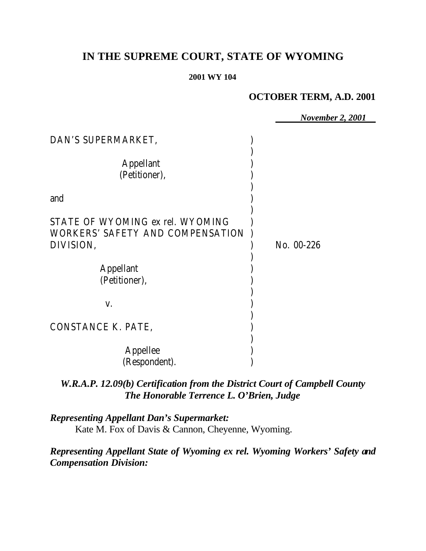# **IN THE SUPREME COURT, STATE OF WYOMING**

#### **2001 WY 104**

## **OCTOBER TERM, A.D. 2001**

|                                                                                          | <b>November 2, 2001</b> |
|------------------------------------------------------------------------------------------|-------------------------|
| DAN'S SUPERMARKET,                                                                       |                         |
| <b>Appellant</b><br>(Petitioner),                                                        |                         |
| and                                                                                      |                         |
| STATE OF WYOMING ex rel. WYOMING<br><b>WORKERS' SAFETY AND COMPENSATION</b><br>DIVISION, | No. 00-226              |
| <b>Appellant</b><br>(Petitioner),                                                        |                         |
| V.                                                                                       |                         |
| CONSTANCE K. PATE,                                                                       |                         |
| Appellee<br>(Respondent).                                                                |                         |

# *W.R.A.P. 12.09(b) Certification from the District Court of Campbell County The Honorable Terrence L. O'Brien, Judge*

*Representing Appellant Dan's Supermarket:* Kate M. Fox of Davis & Cannon, Cheyenne, Wyoming.

*Representing Appellant State of Wyoming ex rel. Wyoming Workers' Safety and Compensation Division:*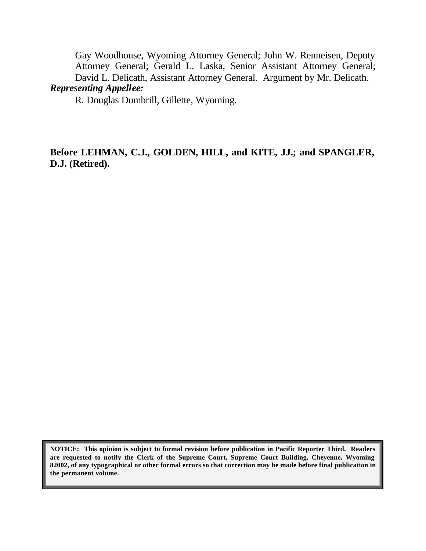Gay Woodhouse, Wyoming Attorney General; John W. Renneisen, Deputy Attorney General; Gerald L. Laska, Senior Assistant Attorney General; David L. Delicath, Assistant Attorney General. Argument by Mr. Delicath. *Representing Appellee:*

R. Douglas Dumbrill, Gillette, Wyoming.

**Before LEHMAN, C.J., GOLDEN, HILL, and KITE, JJ.; and SPANGLER, D.J. (Retired).**

**NOTICE: This opinion is subject to formal revision before publication in Pacific Reporter Third. Readers are requested to notify the Clerk of the Supreme Court, Supreme Court Building, Cheyenne, Wyoming 82002, of any typographical or other formal errors so that correction may be made before final publication in the permanent volume.**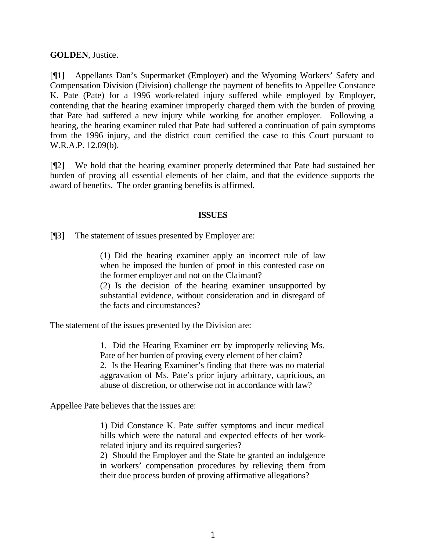**GOLDEN**, Justice.

[¶1] Appellants Dan's Supermarket (Employer) and the Wyoming Workers' Safety and Compensation Division (Division) challenge the payment of benefits to Appellee Constance K. Pate (Pate) for a 1996 work-related injury suffered while employed by Employer, contending that the hearing examiner improperly charged them with the burden of proving that Pate had suffered a new injury while working for another employer. Following a hearing, the hearing examiner ruled that Pate had suffered a continuation of pain symptoms from the 1996 injury, and the district court certified the case to this Court pursuant to W.R.A.P. 12.09(b).

[¶2] We hold that the hearing examiner properly determined that Pate had sustained her burden of proving all essential elements of her claim, and that the evidence supports the award of benefits. The order granting benefits is affirmed.

#### **ISSUES**

[¶3] The statement of issues presented by Employer are:

(1) Did the hearing examiner apply an incorrect rule of law when he imposed the burden of proof in this contested case on the former employer and not on the Claimant?

(2) Is the decision of the hearing examiner unsupported by substantial evidence, without consideration and in disregard of the facts and circumstances?

The statement of the issues presented by the Division are:

1. Did the Hearing Examiner err by improperly relieving Ms. Pate of her burden of proving every element of her claim? 2. Is the Hearing Examiner's finding that there was no material aggravation of Ms. Pate's prior injury arbitrary, capricious, an abuse of discretion, or otherwise not in accordance with law?

Appellee Pate believes that the issues are:

1) Did Constance K. Pate suffer symptoms and incur medical bills which were the natural and expected effects of her workrelated injury and its required surgeries?

2) Should the Employer and the State be granted an indulgence in workers' compensation procedures by relieving them from their due process burden of proving affirmative allegations?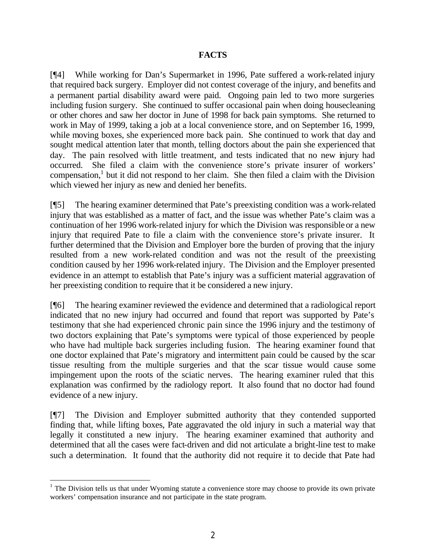#### **FACTS**

[¶4] While working for Dan's Supermarket in 1996, Pate suffered a work-related injury that required back surgery. Employer did not contest coverage of the injury, and benefits and a permanent partial disability award were paid. Ongoing pain led to two more surgeries including fusion surgery. She continued to suffer occasional pain when doing housecleaning or other chores and saw her doctor in June of 1998 for back pain symptoms. She returned to work in May of 1999, taking a job at a local convenience store, and on September 16, 1999, while moving boxes, she experienced more back pain. She continued to work that day and sought medical attention later that month, telling doctors about the pain she experienced that day. The pain resolved with little treatment, and tests indicated that no new injury had occurred. She filed a claim with the convenience store's private insurer of workers' compensation,<sup>1</sup> but it did not respond to her claim. She then filed a claim with the Division which viewed her injury as new and denied her benefits.

[¶5] The hearing examiner determined that Pate's preexisting condition was a work-related injury that was established as a matter of fact, and the issue was whether Pate's claim was a continuation of her 1996 work-related injury for which the Division was responsible or a new injury that required Pate to file a claim with the convenience store's private insurer. It further determined that the Division and Employer bore the burden of proving that the injury resulted from a new work-related condition and was not the result of the preexisting condition caused by her 1996 work-related injury. The Division and the Employer presented evidence in an attempt to establish that Pate's injury was a sufficient material aggravation of her preexisting condition to require that it be considered a new injury.

[¶6] The hearing examiner reviewed the evidence and determined that a radiological report indicated that no new injury had occurred and found that report was supported by Pate's testimony that she had experienced chronic pain since the 1996 injury and the testimony of two doctors explaining that Pate's symptoms were typical of those experienced by people who have had multiple back surgeries including fusion. The hearing examiner found that one doctor explained that Pate's migratory and intermittent pain could be caused by the scar tissue resulting from the multiple surgeries and that the scar tissue would cause some impingement upon the roots of the sciatic nerves. The hearing examiner ruled that this explanation was confirmed by the radiology report. It also found that no doctor had found evidence of a new injury.

[¶7] The Division and Employer submitted authority that they contended supported finding that, while lifting boxes, Pate aggravated the old injury in such a material way that legally it constituted a new injury. The hearing examiner examined that authority and determined that all the cases were fact-driven and did not articulate a bright-line test to make such a determination. It found that the authority did not require it to decide that Pate had

<sup>&</sup>lt;sup>1</sup> The Division tells us that under Wyoming statute a convenience store may choose to provide its own private workers' compensation insurance and not participate in the state program.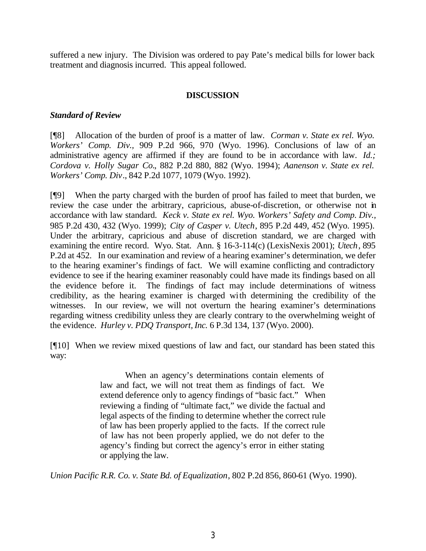suffered a new injury. The Division was ordered to pay Pate's medical bills for lower back treatment and diagnosis incurred. This appeal followed.

#### **DISCUSSION**

### *Standard of Review*

[¶8] Allocation of the burden of proof is a matter of law. *Corman v. State ex rel. Wyo. Workers' Comp. Div.,* 909 P.2d 966, 970 (Wyo. 1996). Conclusions of law of an administrative agency are affirmed if they are found to be in accordance with law. *Id.; Cordova v. Holly Sugar Co.*, 882 P.2d 880, 882 (Wyo. 1994); *Aanenson v. State ex rel. Workers' Comp. Div*., 842 P.2d 1077, 1079 (Wyo. 1992).

[¶9] When the party charged with the burden of proof has failed to meet that burden, we review the case under the arbitrary, capricious, abuse-of-discretion, or otherwise not in accordance with law standard. *Keck v. State ex rel. Wyo. Workers' Safety and Comp. Div.,* 985 P.2d 430, 432 (Wyo. 1999); *City of Casper v. Utech*, 895 P.2d 449, 452 (Wyo. 1995). Under the arbitrary, capricious and abuse of discretion standard, we are charged with examining the entire record. Wyo. Stat. Ann. § 16-3-114(c) (LexisNexis 2001); *Utech*, 895 P.2d at 452. In our examination and review of a hearing examiner's determination, we defer to the hearing examiner's findings of fact. We will examine conflicting and contradictory evidence to see if the hearing examiner reasonably could have made its findings based on all the evidence before it. The findings of fact may include determinations of witness credibility, as the hearing examiner is charged with determining the credibility of the witnesses. In our review, we will not overturn the hearing examiner's determinations regarding witness credibility unless they are clearly contrary to the overwhelming weight of the evidence. *Hurley v. PDQ Transport, Inc.* 6 P.3d 134, 137 (Wyo. 2000).

[¶10] When we review mixed questions of law and fact, our standard has been stated this way:

> When an agency's determinations contain elements of law and fact, we will not treat them as findings of fact. We extend deference only to agency findings of "basic fact." When reviewing a finding of "ultimate fact," we divide the factual and legal aspects of the finding to determine whether the correct rule of law has been properly applied to the facts. If the correct rule of law has not been properly applied, we do not defer to the agency's finding but correct the agency's error in either stating or applying the law.

*Union Pacific R.R. Co. v. State Bd. of Equalization*, 802 P.2d 856, 860-61 (Wyo. 1990).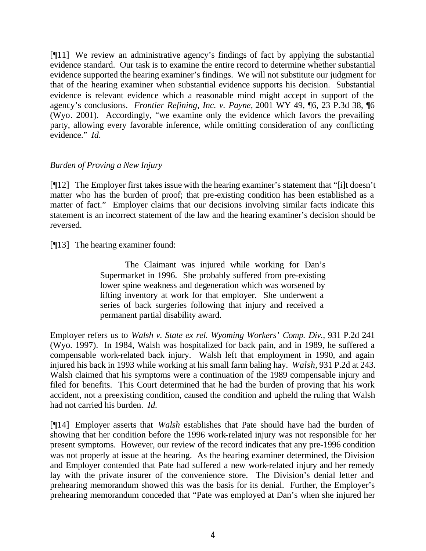[¶11] We review an administrative agency's findings of fact by applying the substantial evidence standard. Our task is to examine the entire record to determine whether substantial evidence supported the hearing examiner's findings. We will not substitute our judgment for that of the hearing examiner when substantial evidence supports his decision. Substantial evidence is relevant evidence which a reasonable mind might accept in support of the agency's conclusions. *Frontier Refining, Inc. v. Payne,* 2001 WY 49, ¶6, 23 P.3d 38, ¶6 (Wyo. 2001). Accordingly, "we examine only the evidence which favors the prevailing party, allowing every favorable inference, while omitting consideration of any conflicting evidence." *Id.*

#### *Burden of Proving a New Injury*

[¶12] The Employer first takes issue with the hearing examiner's statement that "[i]t doesn't matter who has the burden of proof; that pre-existing condition has been established as a matter of fact." Employer claims that our decisions involving similar facts indicate this statement is an incorrect statement of the law and the hearing examiner's decision should be reversed.

[¶13] The hearing examiner found:

The Claimant was injured while working for Dan's Supermarket in 1996. She probably suffered from pre-existing lower spine weakness and degeneration which was worsened by lifting inventory at work for that employer. She underwent a series of back surgeries following that injury and received a permanent partial disability award.

Employer refers us to *Walsh v. State ex rel. Wyoming Workers' Comp. Div.,* 931 P.2d 241 (Wyo. 1997). In 1984, Walsh was hospitalized for back pain, and in 1989, he suffered a compensable work-related back injury. Walsh left that employment in 1990, and again injured his back in 1993 while working at his small farm baling hay. *Walsh,* 931 P.2d at 243. Walsh claimed that his symptoms were a continuation of the 1989 compensable injury and filed for benefits. This Court determined that he had the burden of proving that his work accident, not a preexisting condition, caused the condition and upheld the ruling that Walsh had not carried his burden. *Id.*

[¶14] Employer asserts that *Walsh* establishes that Pate should have had the burden of showing that her condition before the 1996 work-related injury was not responsible for her present symptoms. However, our review of the record indicates that any pre-1996 condition was not properly at issue at the hearing. As the hearing examiner determined, the Division and Employer contended that Pate had suffered a new work-related injury and her remedy lay with the private insurer of the convenience store. The Division's denial letter and prehearing memorandum showed this was the basis for its denial. Further, the Employer's prehearing memorandum conceded that "Pate was employed at Dan's when she injured her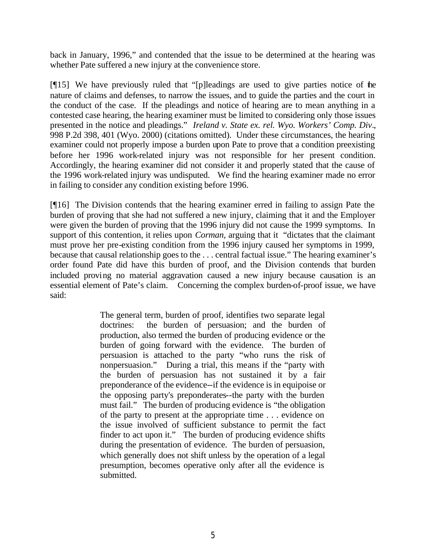back in January, 1996," and contended that the issue to be determined at the hearing was whether Pate suffered a new injury at the convenience store.

[¶15] We have previously ruled that "[p]leadings are used to give parties notice of the nature of claims and defenses, to narrow the issues, and to guide the parties and the court in the conduct of the case. If the pleadings and notice of hearing are to mean anything in a contested case hearing, the hearing examiner must be limited to considering only those issues presented in the notice and pleadings." *Ireland v. State ex. rel. Wyo. Workers' Comp. Div*., 998 P.2d 398, 401 (Wyo. 2000) (citations omitted). Under these circumstances, the hearing examiner could not properly impose a burden upon Pate to prove that a condition preexisting before her 1996 work-related injury was not responsible for her present condition. Accordingly, the hearing examiner did not consider it and properly stated that the cause of the 1996 work-related injury was undisputed. We find the hearing examiner made no error in failing to consider any condition existing before 1996.

[¶16] The Division contends that the hearing examiner erred in failing to assign Pate the burden of proving that she had not suffered a new injury, claiming that it and the Employer were given the burden of proving that the 1996 injury did not cause the 1999 symptoms. In support of this contention, it relies upon *Corman,* arguing that it "dictates that the claimant must prove her pre-existing condition from the 1996 injury caused her symptoms in 1999, because that causal relationship goes to the . . . central factual issue." The hearing examiner's order found Pate did have this burden of proof, and the Division contends that burden included proving no material aggravation caused a new injury because causation is an essential element of Pate's claim. Concerning the complex burden-of-proof issue, we have said:

> The general term, burden of proof, identifies two separate legal doctrines: the burden of persuasion; and the burden of production, also termed the burden of producing evidence or the burden of going forward with the evidence. The burden of persuasion is attached to the party "who runs the risk of nonpersuasion." During a trial, this means if the "party with the burden of persuasion has not sustained it by a fair preponderance of the evidence--if the evidence is in equipoise or the opposing party's preponderates--the party with the burden must fail." The burden of producing evidence is "the obligation of the party to present at the appropriate time . . . evidence on the issue involved of sufficient substance to permit the fact finder to act upon it." The burden of producing evidence shifts during the presentation of evidence. The burden of persuasion, which generally does not shift unless by the operation of a legal presumption, becomes operative only after all the evidence is submitted.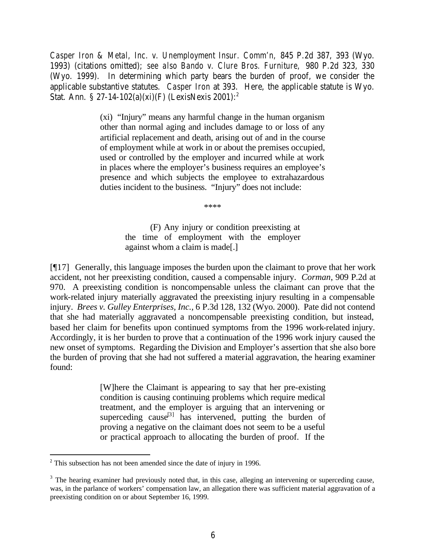*Casper Iron & Metal, Inc. v. Unemployment Insur. Comm'n,* 845 P.2d 387, 393 (Wyo. 1993) (citations omitted); *see also Bando v. Clure Bros. Furniture,* 980 P.2d 323, 330 (Wyo. 1999). In determining which party bears the burden of proof, we consider the applicable substantive statutes. *Casper Iron* at 393. Here, the applicable statute is Wyo. Stat. Ann. § 27-14-102(a)(xi)(F) (LexisNexis 2001):<sup>2</sup>

> (xi) "Injury" means any harmful change in the human organism other than normal aging and includes damage to or loss of any artificial replacement and death, arising out of and in the course of employment while at work in or about the premises occupied, used or controlled by the employer and incurred while at work in places where the employer's business requires an employee's presence and which subjects the employee to extrahazardous duties incident to the business. "Injury" does not include:

> > \*\*\*\*

(F) Any injury or condition preexisting at the time of employment with the employer against whom a claim is made[.]

[¶17] Generally, this language imposes the burden upon the claimant to prove that her work accident, not her preexisting condition, caused a compensable injury. *Corman*, 909 P.2d at 970. A preexisting condition is noncompensable unless the claimant can prove that the work-related injury materially aggravated the preexisting injury resulting in a compensable injury. *Brees v. Gulley Enterprises, Inc.,* 6 P.3d 128, 132 (Wyo. 2000). Pate did not contend that she had materially aggravated a noncompensable preexisting condition, but instead, based her claim for benefits upon continued symptoms from the 1996 work-related injury. Accordingly, it is her burden to prove that a continuation of the 1996 work injury caused the new onset of symptoms. Regarding the Division and Employer's assertion that she also bore the burden of proving that she had not suffered a material aggravation, the hearing examiner found:

> [W]here the Claimant is appearing to say that her pre-existing condition is causing continuing problems which require medical treatment, and the employer is arguing that an intervening or superceding cause<sup>[3]</sup> has intervened, putting the burden of proving a negative on the claimant does not seem to be a useful or practical approach to allocating the burden of proof. If the

<sup>&</sup>lt;sup>2</sup> This subsection has not been amended since the date of injury in 1996.

 $3$  The hearing examiner had previously noted that, in this case, alleging an intervening or superceding cause, was, in the parlance of workers' compensation law, an allegation there was sufficient material aggravation of a preexisting condition on or about September 16, 1999.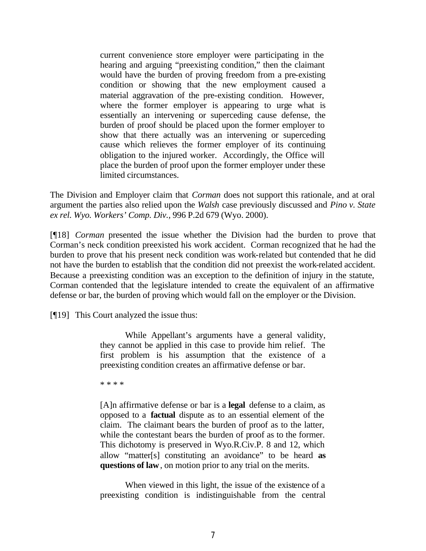current convenience store employer were participating in the hearing and arguing "preexisting condition," then the claimant would have the burden of proving freedom from a pre-existing condition or showing that the new employment caused a material aggravation of the pre-existing condition. However, where the former employer is appearing to urge what is essentially an intervening or superceding cause defense, the burden of proof should be placed upon the former employer to show that there actually was an intervening or superceding cause which relieves the former employer of its continuing obligation to the injured worker. Accordingly, the Office will place the burden of proof upon the former employer under these limited circumstances.

The Division and Employer claim that *Corman* does not support this rationale, and at oral argument the parties also relied upon the *Walsh* case previously discussed and *Pino v. State ex rel. Wyo. Workers' Comp. Div.,* 996 P.2d 679 (Wyo. 2000).

[¶18] *Corman* presented the issue whether the Division had the burden to prove that Corman's neck condition preexisted his work accident. Corman recognized that he had the burden to prove that his present neck condition was work-related but contended that he did not have the burden to establish that the condition did not preexist the work-related accident. Because a preexisting condition was an exception to the definition of injury in the statute, Corman contended that the legislature intended to create the equivalent of an affirmative defense or bar, the burden of proving which would fall on the employer or the Division.

[¶19] This Court analyzed the issue thus:

While Appellant's arguments have a general validity, they cannot be applied in this case to provide him relief. The first problem is his assumption that the existence of a preexisting condition creates an affirmative defense or bar.

\* \* \* \*

[A]n affirmative defense or bar is a **legal** defense to a claim, as opposed to a **factual** dispute as to an essential element of the claim. The claimant bears the burden of proof as to the latter, while the contestant bears the burden of proof as to the former. This dichotomy is preserved in Wyo.R.Civ.P. 8 and 12, which allow "matter[s] constituting an avoidance" to be heard **as questions of law**, on motion prior to any trial on the merits.

When viewed in this light, the issue of the existence of a preexisting condition is indistinguishable from the central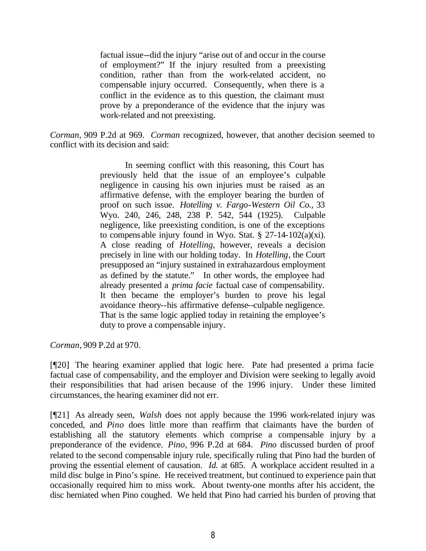factual issue--did the injury "arise out of and occur in the course of employment?" If the injury resulted from a preexisting condition, rather than from the work-related accident, no compensable injury occurred. Consequently, when there is a conflict in the evidence as to this question, the claimant must prove by a preponderance of the evidence that the injury was work-related and not preexisting.

*Corman,* 909 P.2d at 969. *Corman* recognized, however, that another decision seemed to conflict with its decision and said:

> In seeming conflict with this reasoning, this Court has previously held that the issue of an employee's culpable negligence in causing his own injuries must be raised as an affirmative defense, with the employer bearing the burden of proof on such issue. *Hotelling v. Fargo-Western Oil Co.,* 33 Wyo. 240, 246, 248, 238 P. 542, 544 (1925). Culpable negligence, like preexisting condition, is one of the exceptions to compensable injury found in Wyo. Stat. § 27-14-102 $(a)(xi)$ . A close reading of *Hotelling*, however, reveals a decision precisely in line with our holding today. In *Hotelling*, the Court presupposed an "injury sustained in extrahazardous employment as defined by the statute." In other words, the employee had already presented a *prima facie* factual case of compensability. It then became the employer's burden to prove his legal avoidance theory--his affirmative defense--culpable negligence. That is the same logic applied today in retaining the employee's duty to prove a compensable injury.

*Corman,* 909 P.2d at 970.

[¶20] The hearing examiner applied that logic here. Pate had presented a prima facie factual case of compensability, and the employer and Division were seeking to legally avoid their responsibilities that had arisen because of the 1996 injury. Under these limited circumstances, the hearing examiner did not err.

[¶21] As already seen, *Walsh* does not apply because the 1996 work-related injury was conceded, and *Pino* does little more than reaffirm that claimants have the burden of establishing all the statutory elements which comprise a compensable injury by a preponderance of the evidence. *Pino,* 996 P.2d at 684. *Pino* discussed burden of proof related to the second compensable injury rule, specifically ruling that Pino had the burden of proving the essential element of causation. *Id.* at 685. A workplace accident resulted in a mild disc bulge in Pino's spine. He received treatment, but continued to experience pain that occasionally required him to miss work. About twenty-one months after his accident, the disc herniated when Pino coughed. We held that Pino had carried his burden of proving that